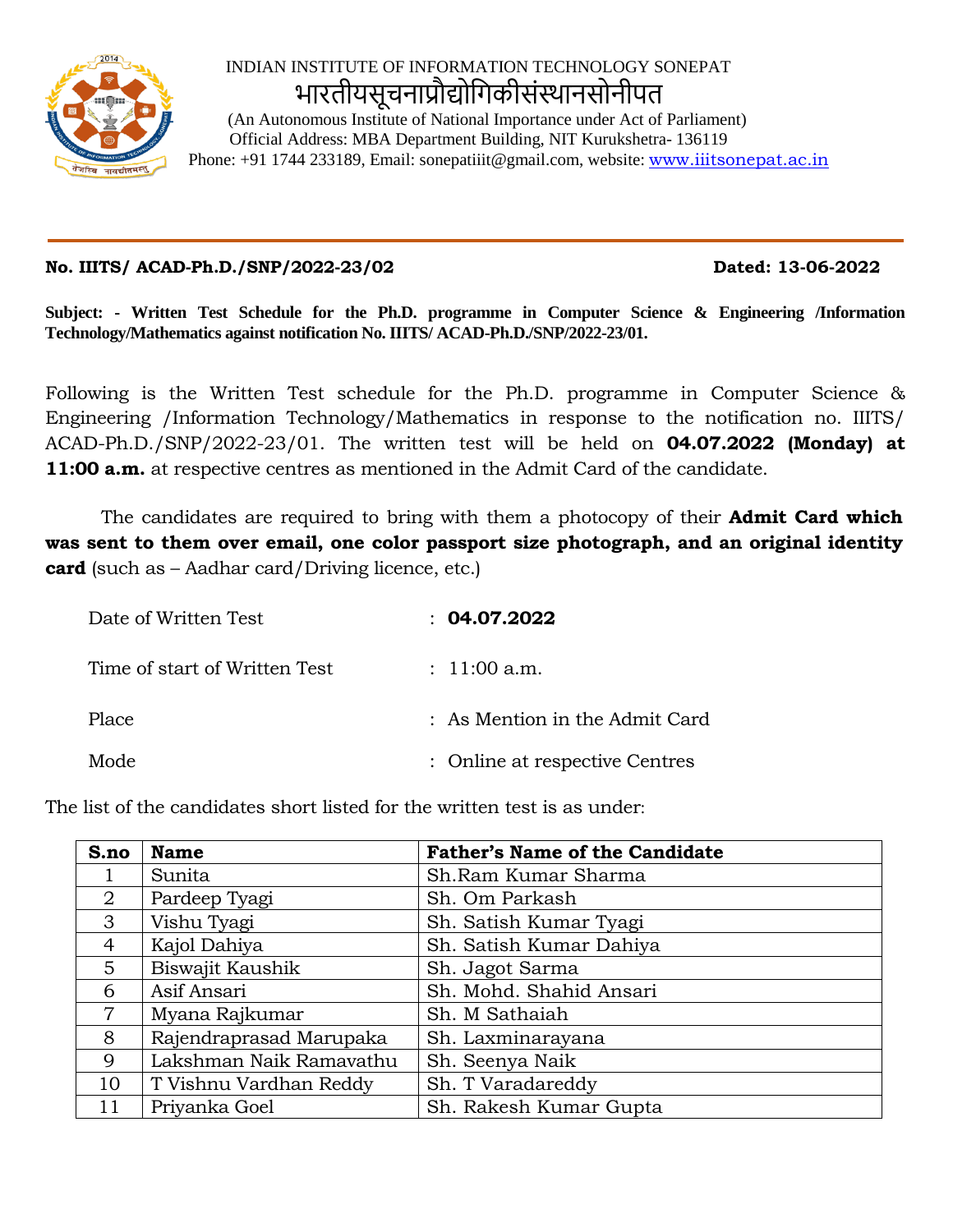

## INDIAN INSTITUTE OF INFORMATION TECHNOLOGY SONEPAT भारतीयसूचनाप्रौ�ोिगकीसंस्थानसोनीपत

 (An Autonomous Institute of National Importance under Act of Parliament) Official Address: MBA Department Building, NIT Kurukshetra- 136119 Phone: +91 1744 233189, Email: sonepatiiit@gmail.com, website: [www.iiitsonepat.ac.in](http://www.iiitsonepat.ac.in/)

## **No. IIITS/ ACAD-Ph.D./SNP/2022-23/02 Dated: 13-06-2022**

**Subject: - Written Test Schedule for the Ph.D. programme in Computer Science & Engineering /Information Technology/Mathematics against notification No. IIITS/ ACAD-Ph.D./SNP/2022-23/01.**

Following is the Written Test schedule for the Ph.D. programme in Computer Science & Engineering /Information Technology/Mathematics in response to the notification no. IIITS/ ACAD-Ph.D./SNP/2022-23/01. The written test will be held on **04.07.2022 (Monday) at 11:00 a.m.** at respective centres as mentioned in the Admit Card of the candidate.

The candidates are required to bring with them a photocopy of their **Admit Card which was sent to them over email, one color passport size photograph, and an original identity card** (such as – Aadhar card/Driving licence, etc.)

| Date of Written Test          | : 04.07.2022                   |
|-------------------------------|--------------------------------|
| Time of start of Written Test | : $11:00$ a.m.                 |
| Place                         | : As Mention in the Admit Card |
| Mode                          | : Online at respective Centres |

The list of the candidates short listed for the written test is as under:

| S.no           | <b>Name</b>             | <b>Father's Name of the Candidate</b> |
|----------------|-------------------------|---------------------------------------|
|                | Sunita                  | Sh.Ram Kumar Sharma                   |
| 2              | Pardeep Tyagi           | Sh. Om Parkash                        |
| 3              | Vishu Tyagi             | Sh. Satish Kumar Tyagi                |
| $\overline{4}$ | Kajol Dahiya            | Sh. Satish Kumar Dahiya               |
| 5              | Biswajit Kaushik        | Sh. Jagot Sarma                       |
| 6              | Asif Ansari             | Sh. Mohd. Shahid Ansari               |
| $\overline{7}$ | Myana Rajkumar          | Sh. M Sathaiah                        |
| 8              | Rajendraprasad Marupaka | Sh. Laxminarayana                     |
| 9              | Lakshman Naik Ramavathu | Sh. Seenya Naik                       |
| 10             | T Vishnu Vardhan Reddy  | Sh. T Varadareddy                     |
| 11             | Priyanka Goel           | Sh. Rakesh Kumar Gupta                |